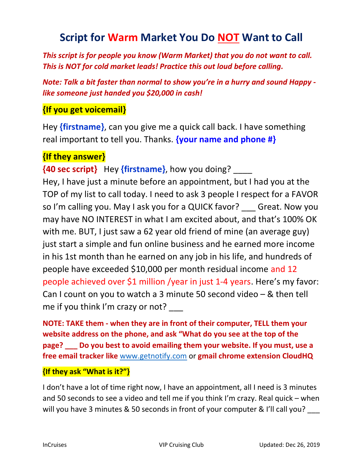# **Script for Warm Market You Do NOT Want to Call**

This script is for people you know (Warm Market) that you do not want to call. This is NOT for cold market leads! Practice this out loud before calling.

Note: Talk a bit faster than normal to show you're in a hurry and sound Happy like someone just handed you \$20,000 in cash!

# {If you get voicemail}

Hey {firstname}, can you give me a quick call back. I have something real important to tell you. Thanks. **{your name and phone #}** 

## {If they answer}

{40 sec script} Hey {firstname}, how you doing? \_\_\_\_ Hey, I have just a minute before an appointment, but I had you at the TOP of my list to call today. I need to ask 3 people I respect for a FAVOR so I'm calling you. May I ask you for a QUICK favor? Great. Now you may have NO INTEREST in what I am excited about, and that's 100% OK with me. BUT, I just saw a 62 year old friend of mine (an average guy) just start a simple and fun online business and he earned more income in his 1st month than he earned on any job in his life, and hundreds of people have exceeded \$10,000 per month residual income and 12 people achieved over \$1 million /year in just 1-4 years. Here's my favor: Can I count on you to watch a 3 minute 50 second video – & then tell me if you think I'm crazy or not?

NOTE: TAKE them - when they are in front of their computer, TELL them your website address on the phone, and ask "What do you see at the top of the page? \_\_\_ Do you best to avoid emailing them your website. If you must, use a free email tracker like www.getnotify.com or gmail chrome extension CloudHQ

### {If they ask "What is it?"}

I don't have a lot of time right now, I have an appointment, all I need is 3 minutes and 50 seconds to see a video and tell me if you think I'm crazy. Real quick – when will you have 3 minutes & 50 seconds in front of your computer & I'll call you?